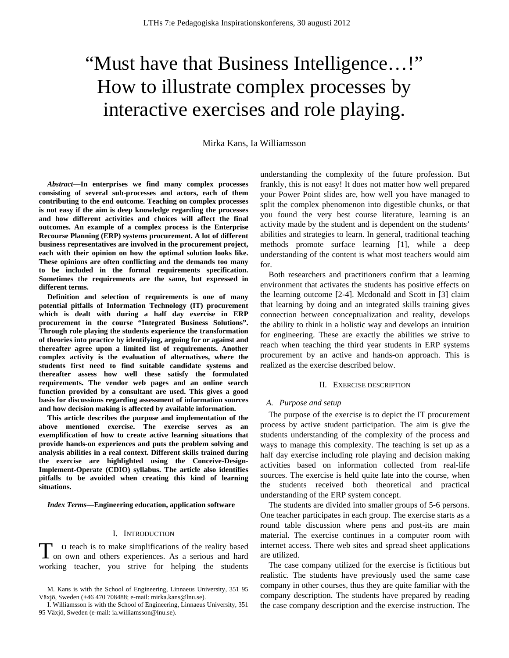# "Must have that Business Intelligence…!" How to illustrate complex processes by interactive exercises and role playing.

Mirka Kans, Ia Williamsson

*Abstract***—In enterprises we find many complex processes consisting of several sub-processes and actors, each of them contributing to the end outcome. Teaching on complex processes is not easy if the aim is deep knowledge regarding the processes and how different activities and choices will affect the final outcomes. An example of a complex process is the Enterprise Recourse Planning (ERP) systems procurement. A lot of different business representatives are involved in the procurement project, each with their opinion on how the optimal solution looks like. These opinions are often conflicting and the demands too many to be included in the formal requirements specification. Sometimes the requirements are the same, but expressed in different terms.** 

**Definition and selection of requirements is one of many potential pitfalls of Information Technology (IT) procurement which is dealt with during a half day exercise in ERP procurement in the course "Integrated Business Solutions". Through role playing the students experience the transformation of theories into practice by identifying, arguing for or against and thereafter agree upon a limited list of requirements. Another complex activity is the evaluation of alternatives, where the students first need to find suitable candidate systems and thereafter assess how well these satisfy the formulated requirements. The vendor web pages and an online search function provided by a consultant are used. This gives a good basis for discussions regarding assessment of information sources and how decision making is affected by available information.** 

**This article describes the purpose and implementation of the above mentioned exercise. The exercise serves as an exemplification of how to create active learning situations that provide hands-on experiences and puts the problem solving and analysis abilities in a real context. Different skills trained during the exercise are highlighted using the Conceive-Design-Implement-Operate (CDIO) syllabus. The article also identifies pitfalls to be avoided when creating this kind of learning situations.** 

*Index Terms***—Engineering education, application software** 

# I. INTRODUCTION

**O** teach is to make simplifications of the reality based To teach is to make simplifications of the reality based on own and others experiences. As a serious and hard working teacher, you strive for helping the students

understanding the complexity of the future profession. But frankly, this is not easy! It does not matter how well prepared your Power Point slides are, how well you have managed to split the complex phenomenon into digestible chunks, or that you found the very best course literature, learning is an activity made by the student and is dependent on the students' abilities and strategies to learn. In general, traditional teaching methods promote surface learning [1], while a deep understanding of the content is what most teachers would aim for.

Both researchers and practitioners confirm that a learning environment that activates the students has positive effects on the learning outcome [2-4]. Mcdonald and Scott in [3] claim that learning by doing and an integrated skills training gives connection between conceptualization and reality, develops the ability to think in a holistic way and develops an intuition for engineering. These are exactly the abilities we strive to reach when teaching the third year students in ERP systems procurement by an active and hands-on approach. This is realized as the exercise described below.

#### II. EXERCISE DESCRIPTION

#### *A. Purpose and setup*

The purpose of the exercise is to depict the IT procurement process by active student participation. The aim is give the students understanding of the complexity of the process and ways to manage this complexity. The teaching is set up as a half day exercise including role playing and decision making activities based on information collected from real-life sources. The exercise is held quite late into the course, when the students received both theoretical and practical understanding of the ERP system concept.

The students are divided into smaller groups of 5-6 persons. One teacher participates in each group. The exercise starts as a round table discussion where pens and post-its are main material. The exercise continues in a computer room with internet access. There web sites and spread sheet applications are utilized.

The case company utilized for the exercise is fictitious but realistic. The students have previously used the same case company in other courses, thus they are quite familiar with the company description. The students have prepared by reading the case company description and the exercise instruction. The

M. Kans is with the School of Engineering, Linnaeus University, 351 95 Växjö, Sweden (+46 470 708488; e-mail: mirka.kans@lnu.se).

I. Williamsson is with the School of Engineering, Linnaeus University, 351 95 Växjö, Sweden (e-mail: ia.williamsson@lnu.se).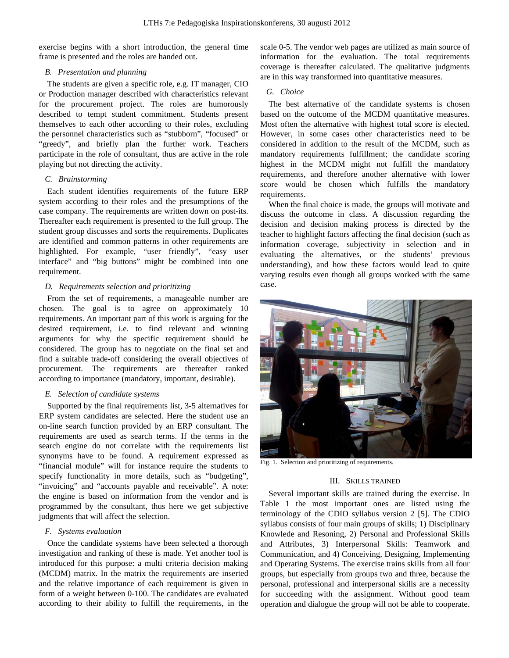exercise begins with a short introduction, the general time frame is presented and the roles are handed out.

## *B. Presentation and planning*

The students are given a specific role, e.g. IT manager, CIO or Production manager described with characteristics relevant for the procurement project. The roles are humorously described to tempt student commitment. Students present themselves to each other according to their roles, excluding the personnel characteristics such as "stubborn", "focused" or "greedy", and briefly plan the further work. Teachers participate in the role of consultant, thus are active in the role playing but not directing the activity.

# *C. Brainstorming*

Each student identifies requirements of the future ERP system according to their roles and the presumptions of the case company. The requirements are written down on post-its. Thereafter each requirement is presented to the full group. The student group discusses and sorts the requirements. Duplicates are identified and common patterns in other requirements are highlighted. For example, "user friendly", "easy user interface" and "big buttons" might be combined into one requirement.

# *D. Requirements selection and prioritizing*

From the set of requirements, a manageable number are chosen. The goal is to agree on approximately 10 requirements. An important part of this work is arguing for the desired requirement, i.e. to find relevant and winning arguments for why the specific requirement should be considered. The group has to negotiate on the final set and find a suitable trade-off considering the overall objectives of procurement. The requirements are thereafter ranked according to importance (mandatory, important, desirable).

## *E. Selection of candidate systems*

Supported by the final requirements list, 3-5 alternatives for ERP system candidates are selected. Here the student use an on-line search function provided by an ERP consultant. The requirements are used as search terms. If the terms in the search engine do not correlate with the requirements list synonyms have to be found. A requirement expressed as "financial module" will for instance require the students to specify functionality in more details, such as "budgeting", "invoicing" and "accounts payable and receivable". A note: the engine is based on information from the vendor and is programmed by the consultant, thus here we get subjective judgments that will affect the selection.

# *F. Systems evaluation*

Once the candidate systems have been selected a thorough investigation and ranking of these is made. Yet another tool is introduced for this purpose: a multi criteria decision making (MCDM) matrix. In the matrix the requirements are inserted and the relative importance of each requirement is given in form of a weight between 0-100. The candidates are evaluated according to their ability to fulfill the requirements, in the scale 0-5. The vendor web pages are utilized as main source of information for the evaluation. The total requirements coverage is thereafter calculated. The qualitative judgments are in this way transformed into quantitative measures.

# *G. Choice*

The best alternative of the candidate systems is chosen based on the outcome of the MCDM quantitative measures. Most often the alternative with highest total score is elected. However, in some cases other characteristics need to be considered in addition to the result of the MCDM, such as mandatory requirements fulfillment; the candidate scoring highest in the MCDM might not fulfill the mandatory requirements, and therefore another alternative with lower score would be chosen which fulfills the mandatory requirements.

When the final choice is made, the groups will motivate and discuss the outcome in class. A discussion regarding the decision and decision making process is directed by the teacher to highlight factors affecting the final decision (such as information coverage, subjectivity in selection and in evaluating the alternatives, or the students' previous understanding), and how these factors would lead to quite varying results even though all groups worked with the same case.



Fig. 1. Selection and prioritizing of requirements.

# III. SKILLS TRAINED

Several important skills are trained during the exercise. In Table 1 the most important ones are listed using the terminology of the CDIO syllabus version 2 [5]. The CDIO syllabus consists of four main groups of skills; 1) Disciplinary Knowlede and Resoning, 2) Personal and Professional Skills and Attributes, 3) Interpersonal Skills: Teamwork and Communication, and 4) Conceiving, Designing, Implementing and Operating Systems. The exercise trains skills from all four groups, but especially from groups two and three, because the personal, professional and interpersonal skills are a necessity for succeeding with the assignment. Without good team operation and dialogue the group will not be able to cooperate.